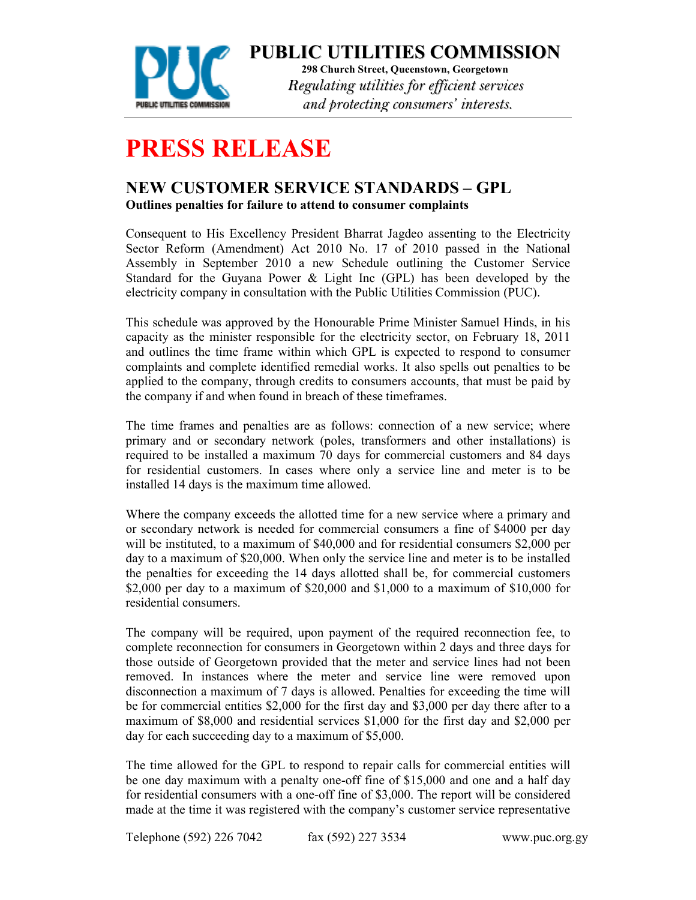

**PUBLIC UTILITIES COMMISSION**

**298 Church Street, Queenstown, Georgetown**  *Regulating utilities for efficient services and protecting consumers' interests.*

## **PRESS RELEASE**

## **NEW CUSTOMER SERVICE STANDARDS – GPL Outlines penalties for failure to attend to consumer complaints**

Consequent to His Excellency President Bharrat Jagdeo assenting to the Electricity Sector Reform (Amendment) Act 2010 No. 17 of 2010 passed in the National Assembly in September 2010 a new Schedule outlining the Customer Service Standard for the Guyana Power & Light Inc (GPL) has been developed by the electricity company in consultation with the Public Utilities Commission (PUC).

This schedule was approved by the Honourable Prime Minister Samuel Hinds, in his capacity as the minister responsible for the electricity sector, on February 18, 2011 and outlines the time frame within which GPL is expected to respond to consumer complaints and complete identified remedial works. It also spells out penalties to be applied to the company, through credits to consumers accounts, that must be paid by the company if and when found in breach of these timeframes.

The time frames and penalties are as follows: connection of a new service; where primary and or secondary network (poles, transformers and other installations) is required to be installed a maximum 70 days for commercial customers and 84 days for residential customers. In cases where only a service line and meter is to be installed 14 days is the maximum time allowed.

Where the company exceeds the allotted time for a new service where a primary and or secondary network is needed for commercial consumers a fine of \$4000 per day will be instituted, to a maximum of \$40,000 and for residential consumers \$2,000 per day to a maximum of \$20,000. When only the service line and meter is to be installed the penalties for exceeding the 14 days allotted shall be, for commercial customers \$2,000 per day to a maximum of \$20,000 and \$1,000 to a maximum of \$10,000 for residential consumers.

The company will be required, upon payment of the required reconnection fee, to complete reconnection for consumers in Georgetown within 2 days and three days for those outside of Georgetown provided that the meter and service lines had not been removed. In instances where the meter and service line were removed upon disconnection a maximum of 7 days is allowed. Penalties for exceeding the time will be for commercial entities \$2,000 for the first day and \$3,000 per day there after to a maximum of \$8,000 and residential services \$1,000 for the first day and \$2,000 per day for each succeeding day to a maximum of \$5,000.

The time allowed for the GPL to respond to repair calls for commercial entities will be one day maximum with a penalty one-off fine of \$15,000 and one and a half day for residential consumers with a one-off fine of \$3,000. The report will be considered made at the time it was registered with the company's customer service representative